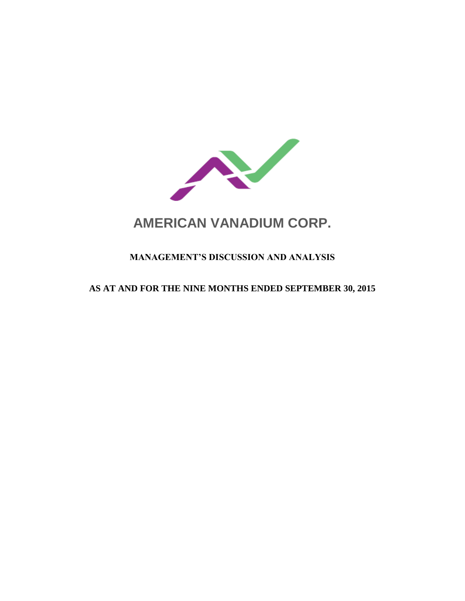

# **AMERICAN VANADIUM CORP.**

# **MANAGEMENT'S DISCUSSION AND ANALYSIS**

# **AS AT AND FOR THE NINE MONTHS ENDED SEPTEMBER 30, 2015**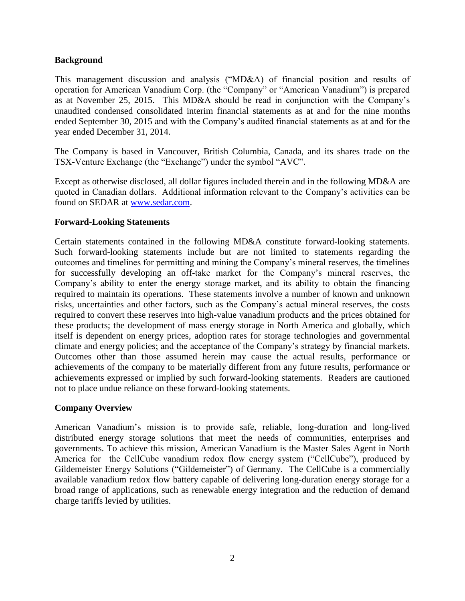#### **Background**

This management discussion and analysis ("MD&A) of financial position and results of operation for American Vanadium Corp. (the "Company" or "American Vanadium") is prepared as at November 25, 2015. This MD&A should be read in conjunction with the Company's unaudited condensed consolidated interim financial statements as at and for the nine months ended September 30, 2015 and with the Company's audited financial statements as at and for the year ended December 31, 2014.

The Company is based in Vancouver, British Columbia, Canada, and its shares trade on the TSX-Venture Exchange (the "Exchange") under the symbol "AVC".

Except as otherwise disclosed, all dollar figures included therein and in the following MD&A are quoted in Canadian dollars. Additional information relevant to the Company's activities can be found on SEDAR at [www.sedar.com.](http://www.sedar.com/)

# **Forward-Looking Statements**

Certain statements contained in the following MD&A constitute forward-looking statements. Such forward-looking statements include but are not limited to statements regarding the outcomes and timelines for permitting and mining the Company's mineral reserves, the timelines for successfully developing an off-take market for the Company's mineral reserves, the Company's ability to enter the energy storage market, and its ability to obtain the financing required to maintain its operations. These statements involve a number of known and unknown risks, uncertainties and other factors, such as the Company's actual mineral reserves, the costs required to convert these reserves into high-value vanadium products and the prices obtained for these products; the development of mass energy storage in North America and globally, which itself is dependent on energy prices, adoption rates for storage technologies and governmental climate and energy policies; and the acceptance of the Company's strategy by financial markets. Outcomes other than those assumed herein may cause the actual results, performance or achievements of the company to be materially different from any future results, performance or achievements expressed or implied by such forward-looking statements. Readers are cautioned not to place undue reliance on these forward-looking statements.

#### **Company Overview**

American Vanadium's mission is to provide safe, reliable, long-duration and long-lived distributed energy storage solutions that meet the needs of communities, enterprises and governments. To achieve this mission, American Vanadium is the Master Sales Agent in North America for the CellCube vanadium redox flow energy system ("CellCube"), produced by Gildemeister Energy Solutions ("Gildemeister") of Germany. The CellCube is a commercially available vanadium redox flow battery capable of delivering long-duration energy storage for a broad range of applications, such as renewable energy integration and the reduction of demand charge tariffs levied by utilities.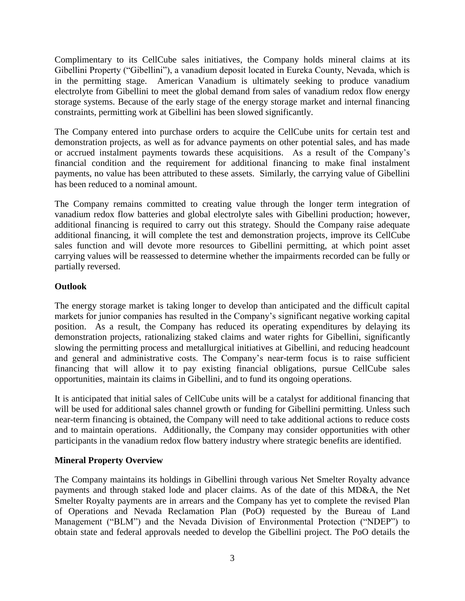Complimentary to its CellCube sales initiatives, the Company holds mineral claims at its Gibellini Property ("Gibellini"), a vanadium deposit located in Eureka County, Nevada, which is in the permitting stage. American Vanadium is ultimately seeking to produce vanadium electrolyte from Gibellini to meet the global demand from sales of vanadium redox flow energy storage systems. Because of the early stage of the energy storage market and internal financing constraints, permitting work at Gibellini has been slowed significantly.

The Company entered into purchase orders to acquire the CellCube units for certain test and demonstration projects, as well as for advance payments on other potential sales, and has made or accrued instalment payments towards these acquisitions. As a result of the Company's financial condition and the requirement for additional financing to make final instalment payments, no value has been attributed to these assets. Similarly, the carrying value of Gibellini has been reduced to a nominal amount.

The Company remains committed to creating value through the longer term integration of vanadium redox flow batteries and global electrolyte sales with Gibellini production; however, additional financing is required to carry out this strategy. Should the Company raise adequate additional financing, it will complete the test and demonstration projects, improve its CellCube sales function and will devote more resources to Gibellini permitting, at which point asset carrying values will be reassessed to determine whether the impairments recorded can be fully or partially reversed.

# **Outlook**

The energy storage market is taking longer to develop than anticipated and the difficult capital markets for junior companies has resulted in the Company's significant negative working capital position. As a result, the Company has reduced its operating expenditures by delaying its demonstration projects, rationalizing staked claims and water rights for Gibellini, significantly slowing the permitting process and metallurgical initiatives at Gibellini, and reducing headcount and general and administrative costs. The Company's near-term focus is to raise sufficient financing that will allow it to pay existing financial obligations, pursue CellCube sales opportunities, maintain its claims in Gibellini, and to fund its ongoing operations.

It is anticipated that initial sales of CellCube units will be a catalyst for additional financing that will be used for additional sales channel growth or funding for Gibellini permitting. Unless such near-term financing is obtained, the Company will need to take additional actions to reduce costs and to maintain operations. Additionally, the Company may consider opportunities with other participants in the vanadium redox flow battery industry where strategic benefits are identified.

# **Mineral Property Overview**

The Company maintains its holdings in Gibellini through various Net Smelter Royalty advance payments and through staked lode and placer claims. As of the date of this MD&A, the Net Smelter Royalty payments are in arrears and the Company has yet to complete the revised Plan of Operations and Nevada Reclamation Plan (PoO) requested by the Bureau of Land Management ("BLM") and the Nevada Division of Environmental Protection ("NDEP") to obtain state and federal approvals needed to develop the Gibellini project. The PoO details the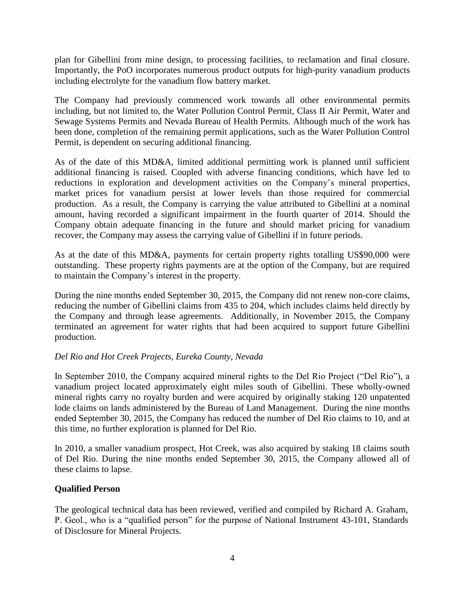plan for Gibellini from mine design, to processing facilities, to reclamation and final closure. Importantly, the PoO incorporates numerous product outputs for high-purity vanadium products including electrolyte for the vanadium flow battery market.

The Company had previously commenced work towards all other environmental permits including, but not limited to, the Water Pollution Control Permit, Class II Air Permit, Water and Sewage Systems Permits and Nevada Bureau of Health Permits. Although much of the work has been done, completion of the remaining permit applications, such as the Water Pollution Control Permit, is dependent on securing additional financing.

As of the date of this MD&A, limited additional permitting work is planned until sufficient additional financing is raised. Coupled with adverse financing conditions, which have led to reductions in exploration and development activities on the Company's mineral properties, market prices for vanadium persist at lower levels than those required for commercial production. As a result, the Company is carrying the value attributed to Gibellini at a nominal amount, having recorded a significant impairment in the fourth quarter of 2014. Should the Company obtain adequate financing in the future and should market pricing for vanadium recover, the Company may assess the carrying value of Gibellini if in future periods.

As at the date of this MD&A, payments for certain property rights totalling US\$90,000 were outstanding. These property rights payments are at the option of the Company, but are required to maintain the Company's interest in the property.

During the nine months ended September 30, 2015, the Company did not renew non-core claims, reducing the number of Gibellini claims from 435 to 204, which includes claims held directly by the Company and through lease agreements. Additionally, in November 2015, the Company terminated an agreement for water rights that had been acquired to support future Gibellini production.

# *Del Rio and Hot Creek Projects, Eureka County, Nevada*

In September 2010, the Company acquired mineral rights to the Del Rio Project ("Del Rio"), a vanadium project located approximately eight miles south of Gibellini. These wholly-owned mineral rights carry no royalty burden and were acquired by originally staking 120 unpatented lode claims on lands administered by the Bureau of Land Management. During the nine months ended September 30, 2015, the Company has reduced the number of Del Rio claims to 10, and at this time, no further exploration is planned for Del Rio.

In 2010, a smaller vanadium prospect, Hot Creek, was also acquired by staking 18 claims south of Del Rio. During the nine months ended September 30, 2015, the Company allowed all of these claims to lapse.

# **Qualified Person**

The geological technical data has been reviewed, verified and compiled by Richard A. Graham, P. Geol., who is a "qualified person" for the purpose of National Instrument 43-101, Standards of Disclosure for Mineral Projects.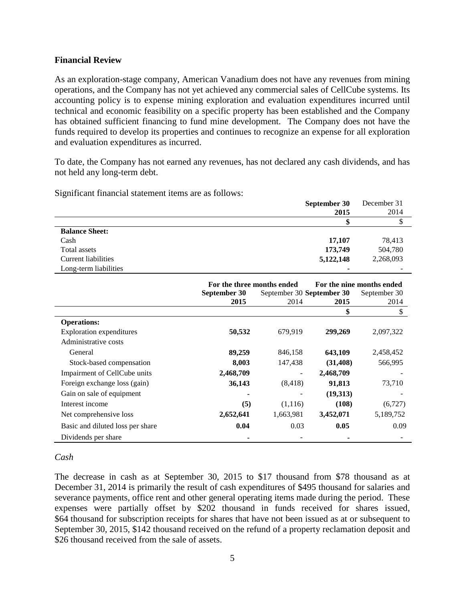#### **Financial Review**

As an exploration-stage company, American Vanadium does not have any revenues from mining operations, and the Company has not yet achieved any commercial sales of CellCube systems. Its accounting policy is to expense mining exploration and evaluation expenditures incurred until technical and economic feasibility on a specific property has been established and the Company has obtained sufficient financing to fund mine development. The Company does not have the funds required to develop its properties and continues to recognize an expense for all exploration and evaluation expenditures as incurred.

To date, the Company has not earned any revenues, has not declared any cash dividends, and has not held any long-term debt.

|                       | September 30 | December 31              |
|-----------------------|--------------|--------------------------|
|                       | 2015         | 2014                     |
|                       |              |                          |
| <b>Balance Sheet:</b> |              |                          |
| Cash                  | 17,107       | 78,413                   |
| Total assets          | 173,749      | 504,780                  |
| Current liabilities   | 5,122,148    | 2,268,093                |
| Long-term liabilities | ۰            | $\overline{\phantom{0}}$ |

|                                  |              | For the three months ended |           | For the nine months ended |  |
|----------------------------------|--------------|----------------------------|-----------|---------------------------|--|
|                                  | September 30 | September 30 September 30  |           | September 30              |  |
|                                  | 2015         | 2014                       | 2015      | 2014                      |  |
|                                  |              |                            | \$        |                           |  |
| <b>Operations:</b>               |              |                            |           |                           |  |
| <b>Exploration</b> expenditures  | 50,532       | 679,919                    | 299,269   | 2,097,322                 |  |
| Administrative costs             |              |                            |           |                           |  |
| General                          | 89,259       | 846,158                    | 643,109   | 2,458,452                 |  |
| Stock-based compensation         | 8,003        | 147,438                    | (31, 408) | 566,995                   |  |
| Impairment of CellCube units     | 2,468,709    | $\overline{\phantom{a}}$   | 2,468,709 |                           |  |
| Foreign exchange loss (gain)     | 36,143       | (8, 418)                   | 91,813    | 73,710                    |  |
| Gain on sale of equipment        |              | $\overline{\phantom{a}}$   | (19,313)  |                           |  |
| Interest income                  | (5)          | (1,116)                    | (108)     | (6,727)                   |  |
| Net comprehensive loss           | 2,652,641    | 1,663,981                  | 3,452,071 | 5,189,752                 |  |
| Basic and diluted loss per share | 0.04         | 0.03                       | 0.05      | 0.09                      |  |
| Dividends per share              |              |                            |           |                           |  |

Significant financial statement items are as follows:

#### *Cash*

The decrease in cash as at September 30, 2015 to \$17 thousand from \$78 thousand as at December 31, 2014 is primarily the result of cash expenditures of \$495 thousand for salaries and severance payments, office rent and other general operating items made during the period. These expenses were partially offset by \$202 thousand in funds received for shares issued, \$64 thousand for subscription receipts for shares that have not been issued as at or subsequent to September 30, 2015, \$142 thousand received on the refund of a property reclamation deposit and \$26 thousand received from the sale of assets.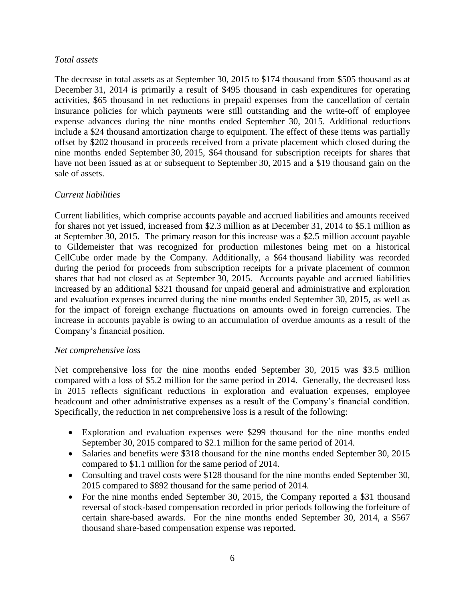#### *Total assets*

The decrease in total assets as at September 30, 2015 to \$174 thousand from \$505 thousand as at December 31, 2014 is primarily a result of \$495 thousand in cash expenditures for operating activities, \$65 thousand in net reductions in prepaid expenses from the cancellation of certain insurance policies for which payments were still outstanding and the write-off of employee expense advances during the nine months ended September 30, 2015. Additional reductions include a \$24 thousand amortization charge to equipment. The effect of these items was partially offset by \$202 thousand in proceeds received from a private placement which closed during the nine months ended September 30, 2015, \$64 thousand for subscription receipts for shares that have not been issued as at or subsequent to September 30, 2015 and a \$19 thousand gain on the sale of assets.

#### *Current liabilities*

Current liabilities, which comprise accounts payable and accrued liabilities and amounts received for shares not yet issued, increased from \$2.3 million as at December 31, 2014 to \$5.1 million as at September 30, 2015. The primary reason for this increase was a \$2.5 million account payable to Gildemeister that was recognized for production milestones being met on a historical CellCube order made by the Company. Additionally, a \$64 thousand liability was recorded during the period for proceeds from subscription receipts for a private placement of common shares that had not closed as at September 30, 2015. Accounts payable and accrued liabilities increased by an additional \$321 thousand for unpaid general and administrative and exploration and evaluation expenses incurred during the nine months ended September 30, 2015, as well as for the impact of foreign exchange fluctuations on amounts owed in foreign currencies. The increase in accounts payable is owing to an accumulation of overdue amounts as a result of the Company's financial position.

#### *Net comprehensive loss*

Net comprehensive loss for the nine months ended September 30, 2015 was \$3.5 million compared with a loss of \$5.2 million for the same period in 2014. Generally, the decreased loss in 2015 reflects significant reductions in exploration and evaluation expenses, employee headcount and other administrative expenses as a result of the Company's financial condition. Specifically, the reduction in net comprehensive loss is a result of the following:

- Exploration and evaluation expenses were \$299 thousand for the nine months ended September 30, 2015 compared to \$2.1 million for the same period of 2014.
- Salaries and benefits were \$318 thousand for the nine months ended September 30, 2015 compared to \$1.1 million for the same period of 2014.
- Consulting and travel costs were \$128 thousand for the nine months ended September 30, 2015 compared to \$892 thousand for the same period of 2014.
- For the nine months ended September 30, 2015, the Company reported a \$31 thousand reversal of stock-based compensation recorded in prior periods following the forfeiture of certain share-based awards. For the nine months ended September 30, 2014, a \$567 thousand share-based compensation expense was reported.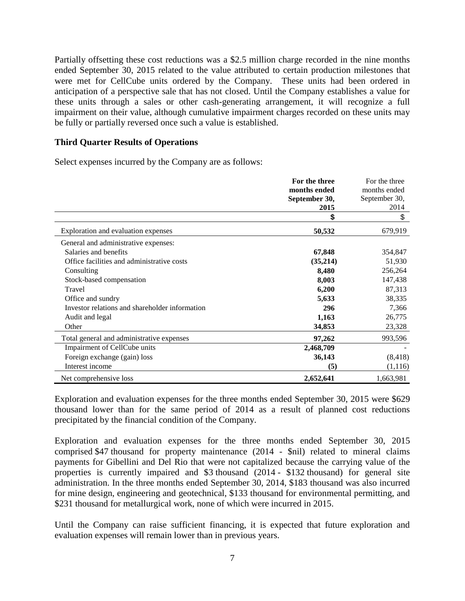Partially offsetting these cost reductions was a \$2.5 million charge recorded in the nine months ended September 30, 2015 related to the value attributed to certain production milestones that were met for CellCube units ordered by the Company. These units had been ordered in anticipation of a perspective sale that has not closed. Until the Company establishes a value for these units through a sales or other cash-generating arrangement, it will recognize a full impairment on their value, although cumulative impairment charges recorded on these units may be fully or partially reversed once such a value is established.

#### **Third Quarter Results of Operations**

Select expenses incurred by the Company are as follows:

|                                                | For the three | For the three |
|------------------------------------------------|---------------|---------------|
|                                                | months ended  | months ended  |
|                                                | September 30, | September 30, |
|                                                | 2015          | 2014          |
|                                                | \$            | \$            |
| Exploration and evaluation expenses            | 50,532        | 679,919       |
| General and administrative expenses:           |               |               |
| Salaries and benefits                          | 67,848        | 354,847       |
| Office facilities and administrative costs     | (35,214)      | 51,930        |
| Consulting                                     | 8,480         | 256,264       |
| Stock-based compensation                       | 8,003         | 147,438       |
| Travel                                         | 6,200         | 87,313        |
| Office and sundry                              | 5,633         | 38,335        |
| Investor relations and shareholder information | 296           | 7,366         |
| Audit and legal                                | 1,163         | 26,775        |
| Other                                          | 34,853        | 23,328        |
| Total general and administrative expenses      | 97,262        | 993,596       |
| Impairment of CellCube units                   | 2,468,709     |               |
| Foreign exchange (gain) loss                   | 36,143        | (8, 418)      |
| Interest income                                | (5)           | (1,116)       |
| Net comprehensive loss                         | 2,652,641     | 1,663,981     |

Exploration and evaluation expenses for the three months ended September 30, 2015 were \$629 thousand lower than for the same period of 2014 as a result of planned cost reductions precipitated by the financial condition of the Company.

Exploration and evaluation expenses for the three months ended September 30, 2015 comprised \$47 thousand for property maintenance (2014 - \$nil) related to mineral claims payments for Gibellini and Del Rio that were not capitalized because the carrying value of the properties is currently impaired and \$3 thousand (2014 - \$132 thousand) for general site administration. In the three months ended September 30, 2014, \$183 thousand was also incurred for mine design, engineering and geotechnical, \$133 thousand for environmental permitting, and \$231 thousand for metallurgical work, none of which were incurred in 2015.

Until the Company can raise sufficient financing, it is expected that future exploration and evaluation expenses will remain lower than in previous years.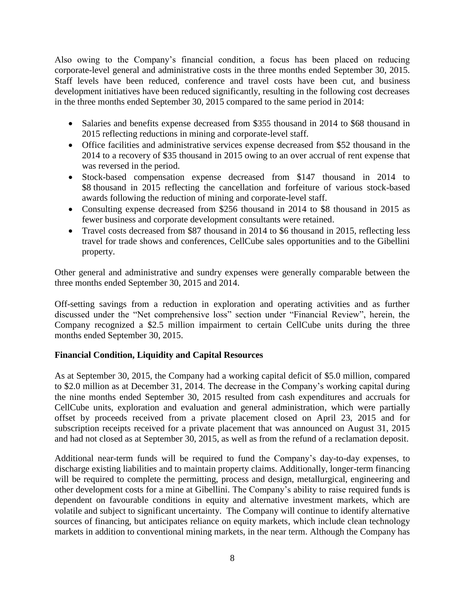Also owing to the Company's financial condition, a focus has been placed on reducing corporate-level general and administrative costs in the three months ended September 30, 2015. Staff levels have been reduced, conference and travel costs have been cut, and business development initiatives have been reduced significantly, resulting in the following cost decreases in the three months ended September 30, 2015 compared to the same period in 2014:

- Salaries and benefits expense decreased from \$355 thousand in 2014 to \$68 thousand in 2015 reflecting reductions in mining and corporate-level staff.
- Office facilities and administrative services expense decreased from \$52 thousand in the 2014 to a recovery of \$35 thousand in 2015 owing to an over accrual of rent expense that was reversed in the period.
- Stock-based compensation expense decreased from \$147 thousand in 2014 to \$8 thousand in 2015 reflecting the cancellation and forfeiture of various stock-based awards following the reduction of mining and corporate-level staff.
- Consulting expense decreased from \$256 thousand in 2014 to \$8 thousand in 2015 as fewer business and corporate development consultants were retained.
- Travel costs decreased from \$87 thousand in 2014 to \$6 thousand in 2015, reflecting less travel for trade shows and conferences, CellCube sales opportunities and to the Gibellini property.

Other general and administrative and sundry expenses were generally comparable between the three months ended September 30, 2015 and 2014.

Off-setting savings from a reduction in exploration and operating activities and as further discussed under the "Net comprehensive loss" section under "Financial Review", herein, the Company recognized a \$2.5 million impairment to certain CellCube units during the three months ended September 30, 2015.

# **Financial Condition, Liquidity and Capital Resources**

As at September 30, 2015, the Company had a working capital deficit of \$5.0 million, compared to \$2.0 million as at December 31, 2014. The decrease in the Company's working capital during the nine months ended September 30, 2015 resulted from cash expenditures and accruals for CellCube units, exploration and evaluation and general administration, which were partially offset by proceeds received from a private placement closed on April 23, 2015 and for subscription receipts received for a private placement that was announced on August 31, 2015 and had not closed as at September 30, 2015, as well as from the refund of a reclamation deposit.

Additional near-term funds will be required to fund the Company's day-to-day expenses, to discharge existing liabilities and to maintain property claims. Additionally, longer-term financing will be required to complete the permitting, process and design, metallurgical, engineering and other development costs for a mine at Gibellini. The Company's ability to raise required funds is dependent on favourable conditions in equity and alternative investment markets, which are volatile and subject to significant uncertainty. The Company will continue to identify alternative sources of financing, but anticipates reliance on equity markets, which include clean technology markets in addition to conventional mining markets, in the near term. Although the Company has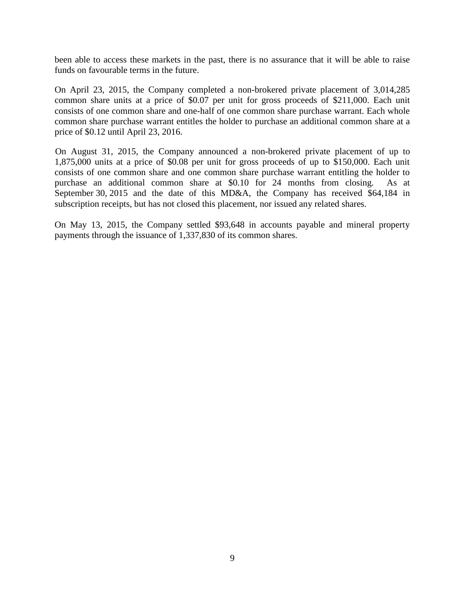been able to access these markets in the past, there is no assurance that it will be able to raise funds on favourable terms in the future.

On April 23, 2015, the Company completed a non-brokered private placement of 3,014,285 common share units at a price of \$0.07 per unit for gross proceeds of \$211,000. Each unit consists of one common share and one-half of one common share purchase warrant. Each whole common share purchase warrant entitles the holder to purchase an additional common share at a price of \$0.12 until April 23, 2016.

On August 31, 2015, the Company announced a non-brokered private placement of up to 1,875,000 units at a price of \$0.08 per unit for gross proceeds of up to \$150,000. Each unit consists of one common share and one common share purchase warrant entitling the holder to purchase an additional common share at \$0.10 for 24 months from closing. As at September 30, 2015 and the date of this MD&A, the Company has received \$64,184 in subscription receipts, but has not closed this placement, nor issued any related shares.

On May 13, 2015, the Company settled \$93,648 in accounts payable and mineral property payments through the issuance of 1,337,830 of its common shares.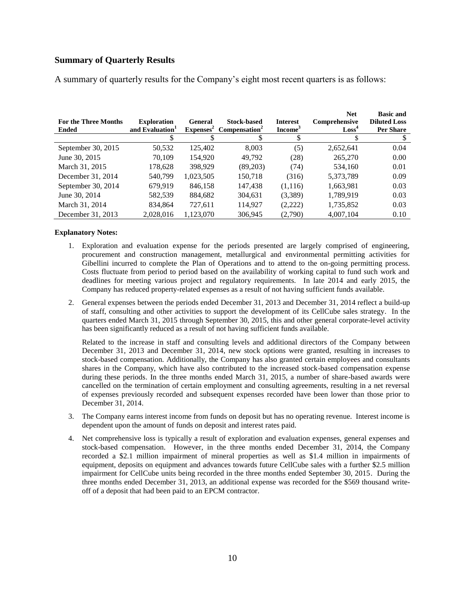### **Summary of Quarterly Results**

| <b>For the Three Months</b><br><b>Ended</b> | <b>Exploration</b><br>and Evaluation <sup>1</sup> | General<br>$Expenses^2$ | <b>Stock-based</b><br>Compensation <sup>2</sup> | <b>Interest</b><br>Income <sup>3</sup> | <b>Net</b><br>Comprehensive<br>$\text{Loss}^4$ | <b>Basic and</b><br><b>Diluted Loss</b><br><b>Per Share</b> |
|---------------------------------------------|---------------------------------------------------|-------------------------|-------------------------------------------------|----------------------------------------|------------------------------------------------|-------------------------------------------------------------|
|                                             |                                                   |                         |                                                 |                                        |                                                |                                                             |
| September 30, 2015                          | 50,532                                            | 125,402                 | 8,003                                           | (5)                                    | 2,652,641                                      | 0.04                                                        |
| June 30, 2015                               | 70.109                                            | 154.920                 | 49.792                                          | (28)                                   | 265,270                                        | 0.00                                                        |
| March 31, 2015                              | 178,628                                           | 398,929                 | (89,203)                                        | (74)                                   | 534,160                                        | 0.01                                                        |
| December 31, 2014                           | 540,799                                           | 1,023,505               | 150,718                                         | (316)                                  | 5,373,789                                      | 0.09                                                        |
| September 30, 2014                          | 679.919                                           | 846.158                 | 147,438                                         | (1,116)                                | 1,663,981                                      | 0.03                                                        |
| June 30, 2014                               | 582,539                                           | 884,682                 | 304,631                                         | (3,389)                                | 1,789,919                                      | 0.03                                                        |
| March 31, 2014                              | 834,864                                           | 727,611                 | 114,927                                         | (2,222)                                | 1,735,852                                      | 0.03                                                        |
| December 31, 2013                           | 2,028,016                                         | 1,123,070               | 306,945                                         | (2,790)                                | 4,007,104                                      | 0.10                                                        |

A summary of quarterly results for the Company's eight most recent quarters is as follows:

#### **Explanatory Notes:**

- 1. Exploration and evaluation expense for the periods presented are largely comprised of engineering, procurement and construction management, metallurgical and environmental permitting activities for Gibellini incurred to complete the Plan of Operations and to attend to the on-going permitting process. Costs fluctuate from period to period based on the availability of working capital to fund such work and deadlines for meeting various project and regulatory requirements. In late 2014 and early 2015, the Company has reduced property-related expenses as a result of not having sufficient funds available.
- 2. General expenses between the periods ended December 31, 2013 and December 31, 2014 reflect a build-up of staff, consulting and other activities to support the development of its CellCube sales strategy. In the quarters ended March 31, 2015 through September 30, 2015, this and other general corporate-level activity has been significantly reduced as a result of not having sufficient funds available.

Related to the increase in staff and consulting levels and additional directors of the Company between December 31, 2013 and December 31, 2014, new stock options were granted, resulting in increases to stock-based compensation. Additionally, the Company has also granted certain employees and consultants shares in the Company, which have also contributed to the increased stock-based compensation expense during these periods. In the three months ended March 31, 2015, a number of share-based awards were cancelled on the termination of certain employment and consulting agreements, resulting in a net reversal of expenses previously recorded and subsequent expenses recorded have been lower than those prior to December 31, 2014.

- 3. The Company earns interest income from funds on deposit but has no operating revenue. Interest income is dependent upon the amount of funds on deposit and interest rates paid.
- 4. Net comprehensive loss is typically a result of exploration and evaluation expenses, general expenses and stock-based compensation. However, in the three months ended December 31, 2014, the Company recorded a \$2.1 million impairment of mineral properties as well as \$1.4 million in impairments of equipment, deposits on equipment and advances towards future CellCube sales with a further \$2.5 million impairment for CellCube units being recorded in the three months ended September 30, 2015. During the three months ended December 31, 2013, an additional expense was recorded for the \$569 thousand writeoff of a deposit that had been paid to an EPCM contractor.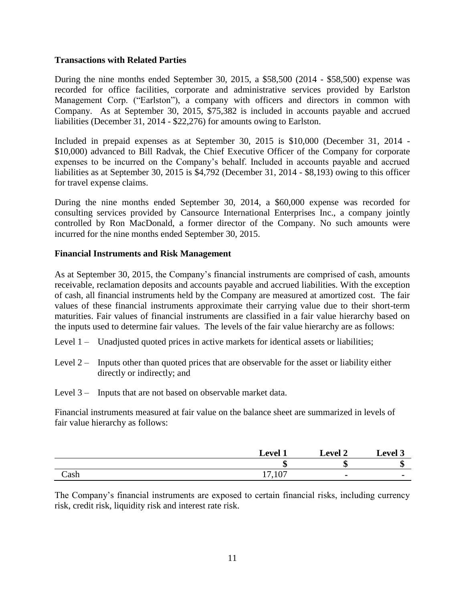#### **Transactions with Related Parties**

During the nine months ended September 30, 2015, a \$58,500 (2014 - \$58,500) expense was recorded for office facilities, corporate and administrative services provided by Earlston Management Corp. ("Earlston"), a company with officers and directors in common with Company. As at September 30, 2015, \$75,382 is included in accounts payable and accrued liabilities (December 31, 2014 - \$22,276) for amounts owing to Earlston.

Included in prepaid expenses as at September 30, 2015 is \$10,000 (December 31, 2014 - \$10,000) advanced to Bill Radvak, the Chief Executive Officer of the Company for corporate expenses to be incurred on the Company's behalf. Included in accounts payable and accrued liabilities as at September 30, 2015 is \$4,792 (December 31, 2014 - \$8,193) owing to this officer for travel expense claims.

During the nine months ended September 30, 2014, a \$60,000 expense was recorded for consulting services provided by Cansource International Enterprises Inc., a company jointly controlled by Ron MacDonald, a former director of the Company. No such amounts were incurred for the nine months ended September 30, 2015.

#### **Financial Instruments and Risk Management**

As at September 30, 2015, the Company's financial instruments are comprised of cash, amounts receivable, reclamation deposits and accounts payable and accrued liabilities. With the exception of cash, all financial instruments held by the Company are measured at amortized cost. The fair values of these financial instruments approximate their carrying value due to their short-term maturities. Fair values of financial instruments are classified in a fair value hierarchy based on the inputs used to determine fair values. The levels of the fair value hierarchy are as follows:

- Level 1 Unadjusted quoted prices in active markets for identical assets or liabilities;
- Level  $2 -$  Inputs other than quoted prices that are observable for the asset or liability either directly or indirectly; and
- Level 3 Inputs that are not based on observable market data.

Financial instruments measured at fair value on the balance sheet are summarized in levels of fair value hierarchy as follows:

|               | Level                          | <b>Level 2</b> | $\mathcal{L}$ evel 3 |
|---------------|--------------------------------|----------------|----------------------|
|               | Æ<br>ιП                        | æ<br>мD        | æ<br>٨D              |
| $\text{Cash}$ | 107<br>1 <sub>7</sub><br>11,10 | $\blacksquare$ |                      |

The Company's financial instruments are exposed to certain financial risks, including currency risk, credit risk, liquidity risk and interest rate risk.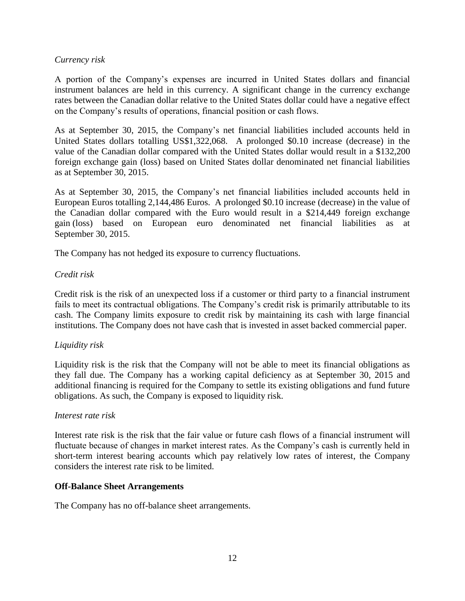#### *Currency risk*

A portion of the Company's expenses are incurred in United States dollars and financial instrument balances are held in this currency. A significant change in the currency exchange rates between the Canadian dollar relative to the United States dollar could have a negative effect on the Company's results of operations, financial position or cash flows.

As at September 30, 2015, the Company's net financial liabilities included accounts held in United States dollars totalling US\$1,322,068. A prolonged \$0.10 increase (decrease) in the value of the Canadian dollar compared with the United States dollar would result in a \$132,200 foreign exchange gain (loss) based on United States dollar denominated net financial liabilities as at September 30, 2015.

As at September 30, 2015, the Company's net financial liabilities included accounts held in European Euros totalling 2,144,486 Euros. A prolonged \$0.10 increase (decrease) in the value of the Canadian dollar compared with the Euro would result in a \$214,449 foreign exchange gain (loss) based on European euro denominated net financial liabilities as at September 30, 2015.

The Company has not hedged its exposure to currency fluctuations.

# *Credit risk*

Credit risk is the risk of an unexpected loss if a customer or third party to a financial instrument fails to meet its contractual obligations. The Company's credit risk is primarily attributable to its cash. The Company limits exposure to credit risk by maintaining its cash with large financial institutions. The Company does not have cash that is invested in asset backed commercial paper.

#### *Liquidity risk*

Liquidity risk is the risk that the Company will not be able to meet its financial obligations as they fall due. The Company has a working capital deficiency as at September 30, 2015 and additional financing is required for the Company to settle its existing obligations and fund future obligations. As such, the Company is exposed to liquidity risk.

#### *Interest rate risk*

Interest rate risk is the risk that the fair value or future cash flows of a financial instrument will fluctuate because of changes in market interest rates. As the Company's cash is currently held in short-term interest bearing accounts which pay relatively low rates of interest, the Company considers the interest rate risk to be limited.

#### **Off-Balance Sheet Arrangements**

The Company has no off-balance sheet arrangements.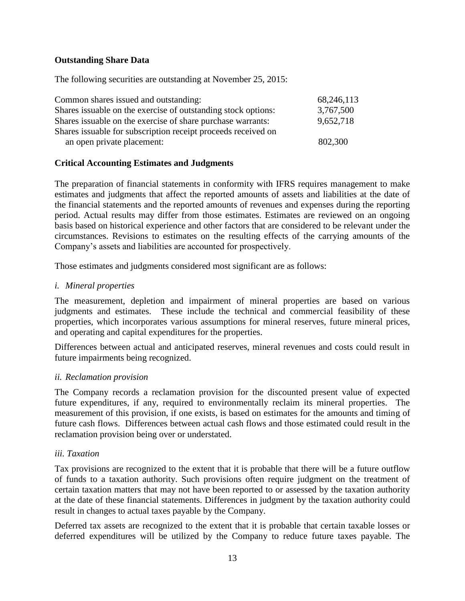# **Outstanding Share Data**

The following securities are outstanding at November 25, 2015:

| Common shares issued and outstanding:                          | 68,246,113 |
|----------------------------------------------------------------|------------|
| Shares is suable on the exercise of outstanding stock options: | 3,767,500  |
| Shares is suable on the exercise of share purchase warrants:   | 9,652,718  |
| Shares issuable for subscription receipt proceeds received on  |            |
| an open private placement:                                     | 802,300    |

# **Critical Accounting Estimates and Judgments**

The preparation of financial statements in conformity with IFRS requires management to make estimates and judgments that affect the reported amounts of assets and liabilities at the date of the financial statements and the reported amounts of revenues and expenses during the reporting period. Actual results may differ from those estimates. Estimates are reviewed on an ongoing basis based on historical experience and other factors that are considered to be relevant under the circumstances. Revisions to estimates on the resulting effects of the carrying amounts of the Company's assets and liabilities are accounted for prospectively.

Those estimates and judgments considered most significant are as follows:

# *i. Mineral properties*

The measurement, depletion and impairment of mineral properties are based on various judgments and estimates. These include the technical and commercial feasibility of these properties, which incorporates various assumptions for mineral reserves, future mineral prices, and operating and capital expenditures for the properties.

Differences between actual and anticipated reserves, mineral revenues and costs could result in future impairments being recognized.

#### *ii. Reclamation provision*

The Company records a reclamation provision for the discounted present value of expected future expenditures, if any, required to environmentally reclaim its mineral properties. The measurement of this provision, if one exists, is based on estimates for the amounts and timing of future cash flows. Differences between actual cash flows and those estimated could result in the reclamation provision being over or understated.

#### *iii. Taxation*

Tax provisions are recognized to the extent that it is probable that there will be a future outflow of funds to a taxation authority. Such provisions often require judgment on the treatment of certain taxation matters that may not have been reported to or assessed by the taxation authority at the date of these financial statements. Differences in judgment by the taxation authority could result in changes to actual taxes payable by the Company.

Deferred tax assets are recognized to the extent that it is probable that certain taxable losses or deferred expenditures will be utilized by the Company to reduce future taxes payable. The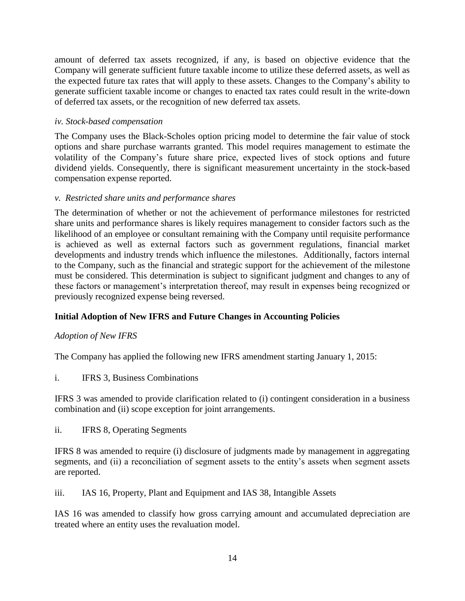amount of deferred tax assets recognized, if any, is based on objective evidence that the Company will generate sufficient future taxable income to utilize these deferred assets, as well as the expected future tax rates that will apply to these assets. Changes to the Company's ability to generate sufficient taxable income or changes to enacted tax rates could result in the write-down of deferred tax assets, or the recognition of new deferred tax assets.

# *iv. Stock-based compensation*

The Company uses the Black-Scholes option pricing model to determine the fair value of stock options and share purchase warrants granted. This model requires management to estimate the volatility of the Company's future share price, expected lives of stock options and future dividend yields. Consequently, there is significant measurement uncertainty in the stock-based compensation expense reported.

# *v. Restricted share units and performance shares*

The determination of whether or not the achievement of performance milestones for restricted share units and performance shares is likely requires management to consider factors such as the likelihood of an employee or consultant remaining with the Company until requisite performance is achieved as well as external factors such as government regulations, financial market developments and industry trends which influence the milestones. Additionally, factors internal to the Company, such as the financial and strategic support for the achievement of the milestone must be considered. This determination is subject to significant judgment and changes to any of these factors or management's interpretation thereof, may result in expenses being recognized or previously recognized expense being reversed.

# **Initial Adoption of New IFRS and Future Changes in Accounting Policies**

# *Adoption of New IFRS*

The Company has applied the following new IFRS amendment starting January 1, 2015:

i. IFRS 3, Business Combinations

IFRS 3 was amended to provide clarification related to (i) contingent consideration in a business combination and (ii) scope exception for joint arrangements.

ii. IFRS 8, Operating Segments

IFRS 8 was amended to require (i) disclosure of judgments made by management in aggregating segments, and (ii) a reconciliation of segment assets to the entity's assets when segment assets are reported.

iii. IAS 16, Property, Plant and Equipment and IAS 38, Intangible Assets

IAS 16 was amended to classify how gross carrying amount and accumulated depreciation are treated where an entity uses the revaluation model.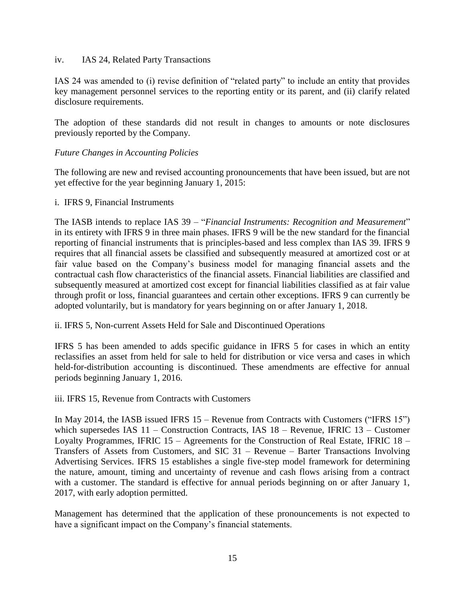#### iv. IAS 24, Related Party Transactions

IAS 24 was amended to (i) revise definition of "related party" to include an entity that provides key management personnel services to the reporting entity or its parent, and (ii) clarify related disclosure requirements.

The adoption of these standards did not result in changes to amounts or note disclosures previously reported by the Company.

#### *Future Changes in Accounting Policies*

The following are new and revised accounting pronouncements that have been issued, but are not yet effective for the year beginning January 1, 2015:

#### i. IFRS 9, Financial Instruments

The IASB intends to replace IAS 39 – "*Financial Instruments: Recognition and Measurement*" in its entirety with IFRS 9 in three main phases. IFRS 9 will be the new standard for the financial reporting of financial instruments that is principles-based and less complex than IAS 39. IFRS 9 requires that all financial assets be classified and subsequently measured at amortized cost or at fair value based on the Company's business model for managing financial assets and the contractual cash flow characteristics of the financial assets. Financial liabilities are classified and subsequently measured at amortized cost except for financial liabilities classified as at fair value through profit or loss, financial guarantees and certain other exceptions. IFRS 9 can currently be adopted voluntarily, but is mandatory for years beginning on or after January 1, 2018.

ii. IFRS 5, Non-current Assets Held for Sale and Discontinued Operations

IFRS 5 has been amended to adds specific guidance in IFRS 5 for cases in which an entity reclassifies an asset from held for sale to held for distribution or vice versa and cases in which held-for-distribution accounting is discontinued. These amendments are effective for annual periods beginning January 1, 2016.

iii. IFRS 15, Revenue from Contracts with Customers

In May 2014, the IASB issued IFRS 15 – Revenue from Contracts with Customers ("IFRS 15") which supersedes IAS 11 – Construction Contracts, IAS 18 – Revenue, IFRIC 13 – Customer Loyalty Programmes, IFRIC 15 – Agreements for the Construction of Real Estate, IFRIC 18 – Transfers of Assets from Customers, and SIC 31 – Revenue – Barter Transactions Involving Advertising Services. IFRS 15 establishes a single five-step model framework for determining the nature, amount, timing and uncertainty of revenue and cash flows arising from a contract with a customer. The standard is effective for annual periods beginning on or after January 1, 2017, with early adoption permitted.

Management has determined that the application of these pronouncements is not expected to have a significant impact on the Company's financial statements.